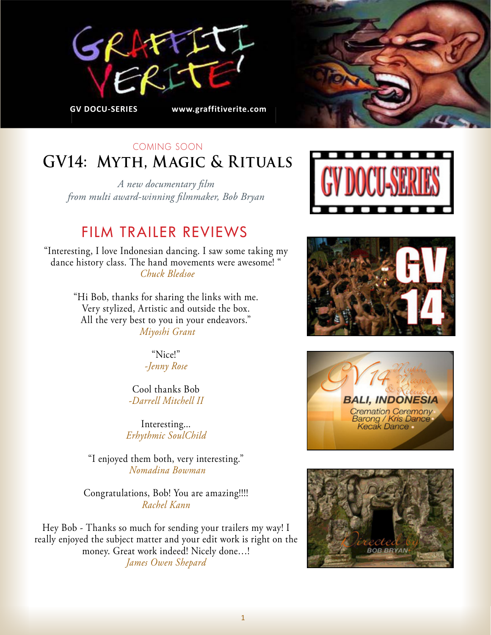



# COMING SOON **GV14: Myth, Magic & Rituals**

*A new documentary film from multi award-winning filmmaker, Bob Bryan*

# FILM TRAILER REVIEWS

"Interesting, I love Indonesian dancing. I saw some taking my dance history class. The hand movements were awesome! "  *Chuck Bledsoe*

> "Hi Bob, thanks for sharing the links with me. Very stylized, Artistic and outside the box. All the very best to you in your endeavors."  *Miyoshi Grant*

> > "Nice!" *-Jenny Rose*

Cool thanks Bob *-Darrell Mitchell II*

Interesting... *Erhythmic SoulChild*

"I enjoyed them both, very interesting."  *Nomadina Bowman*

Congratulations, Bob! You are amazing!!!! *Rachel Kann*

Hey Bob - Thanks so much for sending your trailers my way! I really enjoyed the subject matter and your edit work is right on the money. Great work indeed! Nicely done…! *James Owen Shepard*







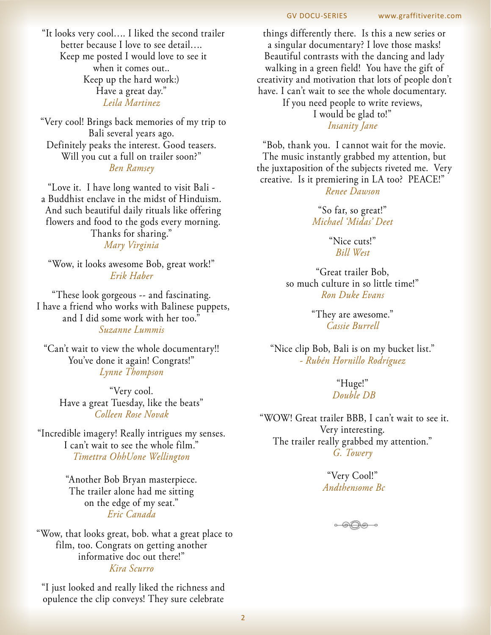"It looks very cool…. I liked the second trailer better because I love to see detail…. Keep me posted I would love to see it when it comes out.. Keep up the hard work:) Have a great day." *Leila Martinez*

"Very cool! Brings back memories of my trip to Bali several years ago. Definitely peaks the interest. Good teasers. Will you cut a full on trailer soon?" *Ben Ramsey*

"Love it. I have long wanted to visit Bali a Buddhist enclave in the midst of Hinduism. And such beautiful daily rituals like offering flowers and food to the gods every morning. Thanks for sharing." *Mary Virginia*

"Wow, it looks awesome Bob, great work!" *Erik Haber*

"These look gorgeous -- and fascinating. I have a friend who works with Balinese puppets, and I did some work with her too." *Suzanne Lummis*

"Can't wait to view the whole documentary!! You've done it again! Congrats!" *Lynne Thompson*

"Very cool. Have a great Tuesday, like the beats" *Colleen Rose Novak* 

"Incredible imagery! Really intrigues my senses. I can't wait to see the whole film."  *Timettra OhhUone Wellington*

> "Another Bob Bryan masterpiece. The trailer alone had me sitting on the edge of my seat." *Eric Canada*

 "Wow, that looks great, bob. what a great place to film, too. Congrats on getting another informative doc out there!" *Kira Scurro*

"I just looked and really liked the richness and opulence the clip conveys! They sure celebrate

things differently there. Is this a new series or a singular documentary? I love those masks! Beautiful contrasts with the dancing and lady walking in a green field! You have the gift of creativity and motivation that lots of people don't have. I can't wait to see the whole documentary. If you need people to write reviews, I would be glad to!"

#### *Insanity Jane*

"Bob, thank you. I cannot wait for the movie. The music instantly grabbed my attention, but the juxtaposition of the subjects riveted me. Very creative. Is it premiering in LA too? PEACE!" *Renee Dawson*

> "So far, so great!" *Michael 'Midas' Deet*

> > "Nice cuts!" *Bill West*

"Great trailer Bob, so much culture in so little time!" *Ron Duke Evans*

> "They are awesome." *Cassie Burrell*

"Nice clip Bob, Bali is on my bucket list." *- Rubén Hornillo Rodríguez*

> "Huge!"  *Double DB*

"WOW! Great trailer BBB, I can't wait to see it. Very interesting. The trailer really grabbed my attention." *G. Towery*

> "Very Cool!"  *Andthensome Bc*